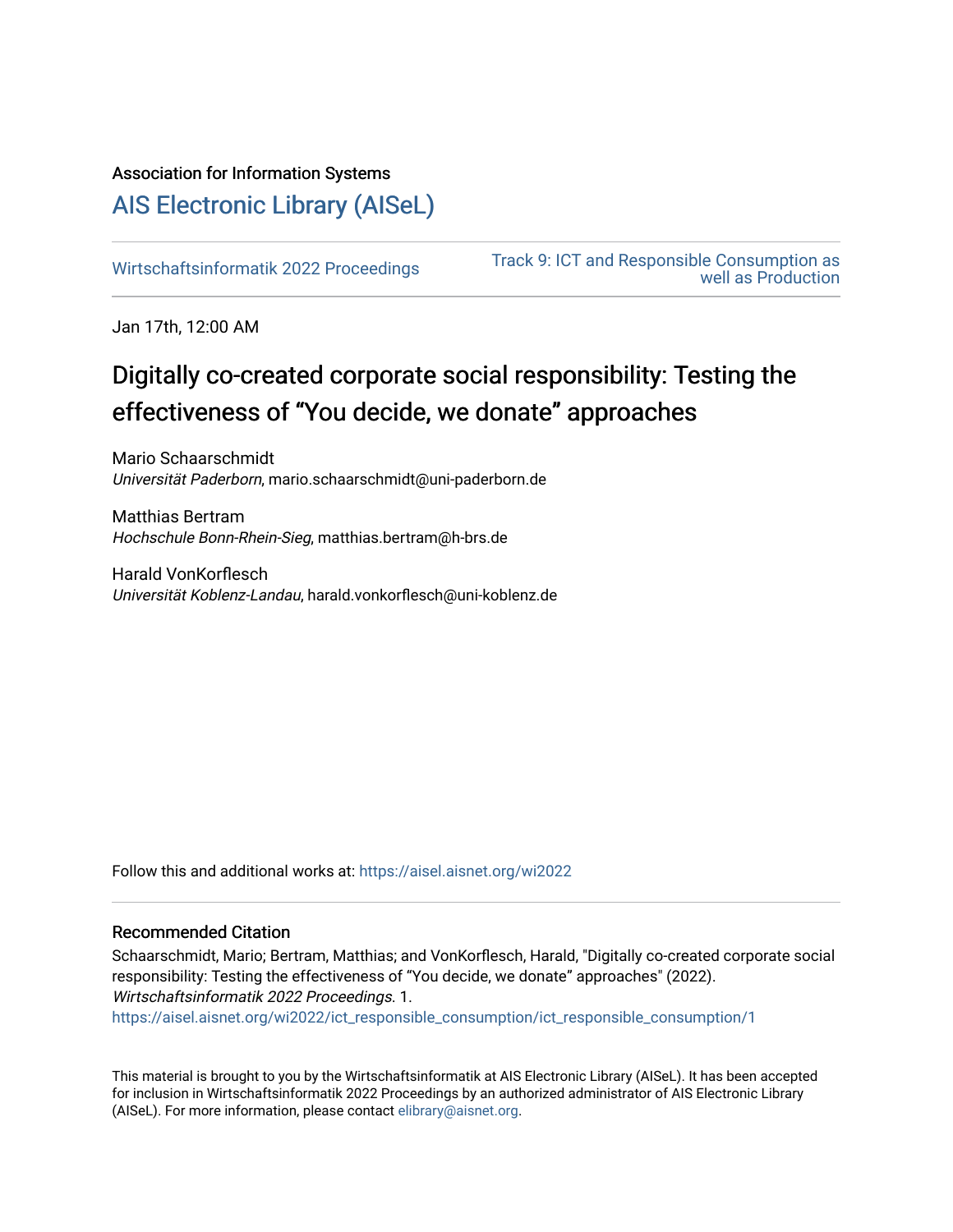## Association for Information Systems

# [AIS Electronic Library \(AISeL\)](https://aisel.aisnet.org/)

[Wirtschaftsinformatik 2022 Proceedings](https://aisel.aisnet.org/wi2022) Track 9: ICT and Responsible Consumption as [well as Production](https://aisel.aisnet.org/wi2022/ict_responsible_consumption) 

Jan 17th, 12:00 AM

# Digitally co-created corporate social responsibility: Testing the effectiveness of "You decide, we donate" approaches

Mario Schaarschmidt Universität Paderborn, mario.schaarschmidt@uni-paderborn.de

Matthias Bertram Hochschule Bonn-Rhein-Sieg, matthias.bertram@h-brs.de

Harald VonKorflesch Universität Koblenz-Landau, harald.vonkorflesch@uni-koblenz.de

Follow this and additional works at: [https://aisel.aisnet.org/wi2022](https://aisel.aisnet.org/wi2022?utm_source=aisel.aisnet.org%2Fwi2022%2Fict_responsible_consumption%2Fict_responsible_consumption%2F1&utm_medium=PDF&utm_campaign=PDFCoverPages) 

## Recommended Citation

Schaarschmidt, Mario; Bertram, Matthias; and VonKorflesch, Harald, "Digitally co-created corporate social responsibility: Testing the effectiveness of "You decide, we donate" approaches" (2022). Wirtschaftsinformatik 2022 Proceedings. 1. [https://aisel.aisnet.org/wi2022/ict\\_responsible\\_consumption/ict\\_responsible\\_consumption/1](https://aisel.aisnet.org/wi2022/ict_responsible_consumption/ict_responsible_consumption/1?utm_source=aisel.aisnet.org%2Fwi2022%2Fict_responsible_consumption%2Fict_responsible_consumption%2F1&utm_medium=PDF&utm_campaign=PDFCoverPages)

This material is brought to you by the Wirtschaftsinformatik at AIS Electronic Library (AISeL). It has been accepted for inclusion in Wirtschaftsinformatik 2022 Proceedings by an authorized administrator of AIS Electronic Library (AISeL). For more information, please contact [elibrary@aisnet.org](mailto:elibrary@aisnet.org%3E).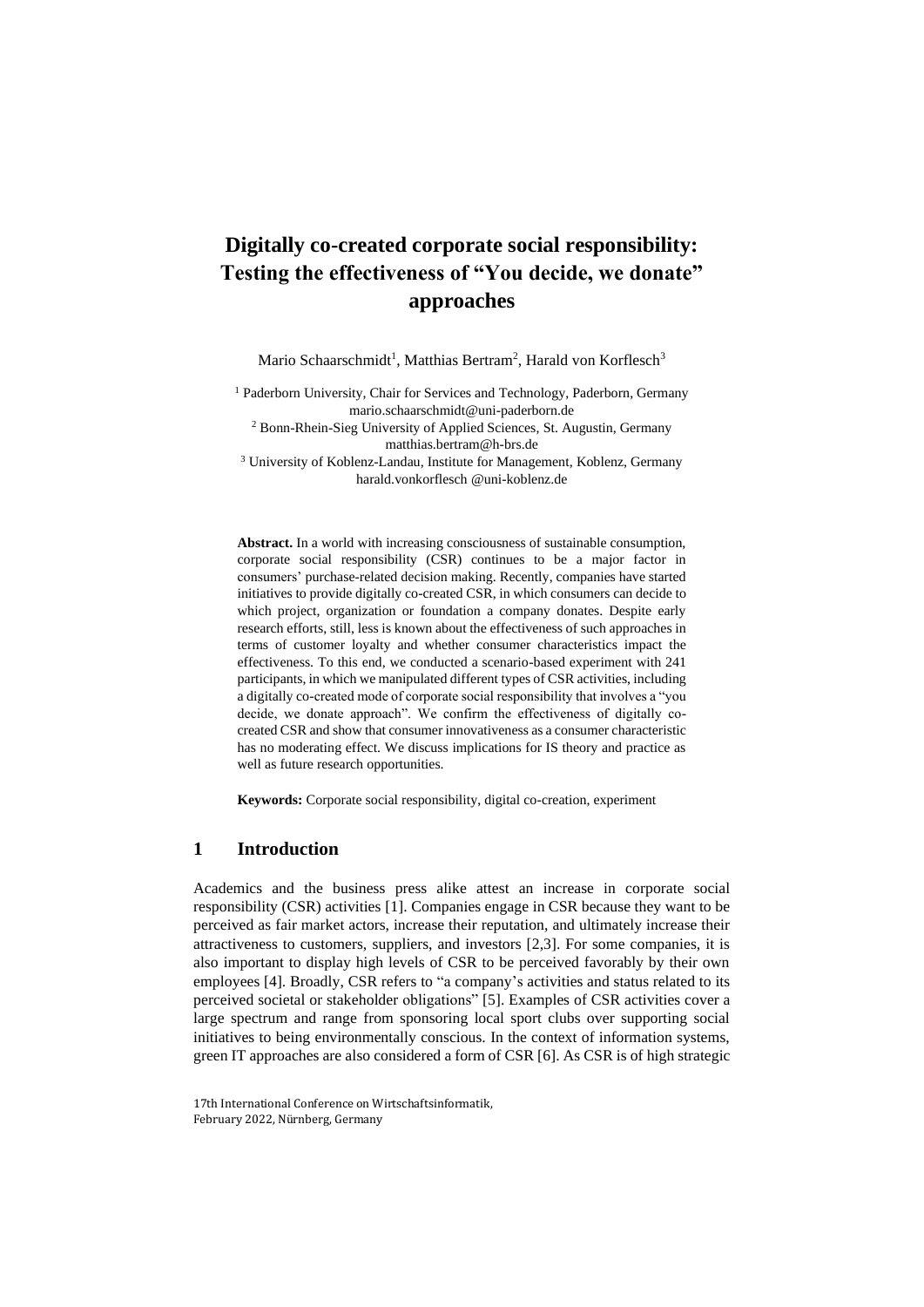## **Digitally co-created corporate social responsibility: Testing the effectiveness of "You decide, we donate" approaches**

Mario Schaarschmidt<sup>1</sup>, Matthias Bertram<sup>2</sup>, Harald von Korflesch<sup>3</sup>

<sup>1</sup> Paderborn University, Chair for Services and Technology, Paderborn, Germany mario.schaarschmidt@uni-paderborn.de

<sup>2</sup> Bonn-Rhein-Sieg University of Applied Sciences, St. Augustin, Germany [matthias.bertram@h-brs.de](mailto:matthias.bertram@h-brs.de)

<sup>3</sup> University of Koblenz-Landau, Institute for Management, Koblenz, Germany harald.vonkorflesch @uni-koblenz.de

**Abstract.** In a world with increasing consciousness of sustainable consumption, corporate social responsibility (CSR) continues to be a major factor in consumers' purchase-related decision making. Recently, companies have started initiatives to provide digitally co-created CSR, in which consumers can decide to which project, organization or foundation a company donates. Despite early research efforts, still, less is known about the effectiveness of such approaches in terms of customer loyalty and whether consumer characteristics impact the effectiveness. To this end, we conducted a scenario-based experiment with 241 participants, in which we manipulated different types of CSR activities, including a digitally co-created mode of corporate social responsibility that involves a "you decide, we donate approach". We confirm the effectiveness of digitally cocreated CSR and show that consumer innovativeness as a consumer characteristic has no moderating effect. We discuss implications for IS theory and practice as well as future research opportunities.

**Keywords:** Corporate social responsibility, digital co-creation, experiment

## **1 Introduction**

Academics and the business press alike attest an increase in corporate social responsibility (CSR) activities [1]. Companies engage in CSR because they want to be perceived as fair market actors, increase their reputation, and ultimately increase their attractiveness to customers, suppliers, and investors [2,3]. For some companies, it is also important to display high levels of CSR to be perceived favorably by their own employees [4]. Broadly, CSR refers to "a company's activities and status related to its perceived societal or stakeholder obligations" [5]. Examples of CSR activities cover a large spectrum and range from sponsoring local sport clubs over supporting social initiatives to being environmentally conscious. In the context of information systems, green IT approaches are also considered a form of CSR [6]. As CSR is of high strategic

<sup>17</sup>th International Conference on Wirtschaftsinformatik, February 2022, Nürnberg, Germany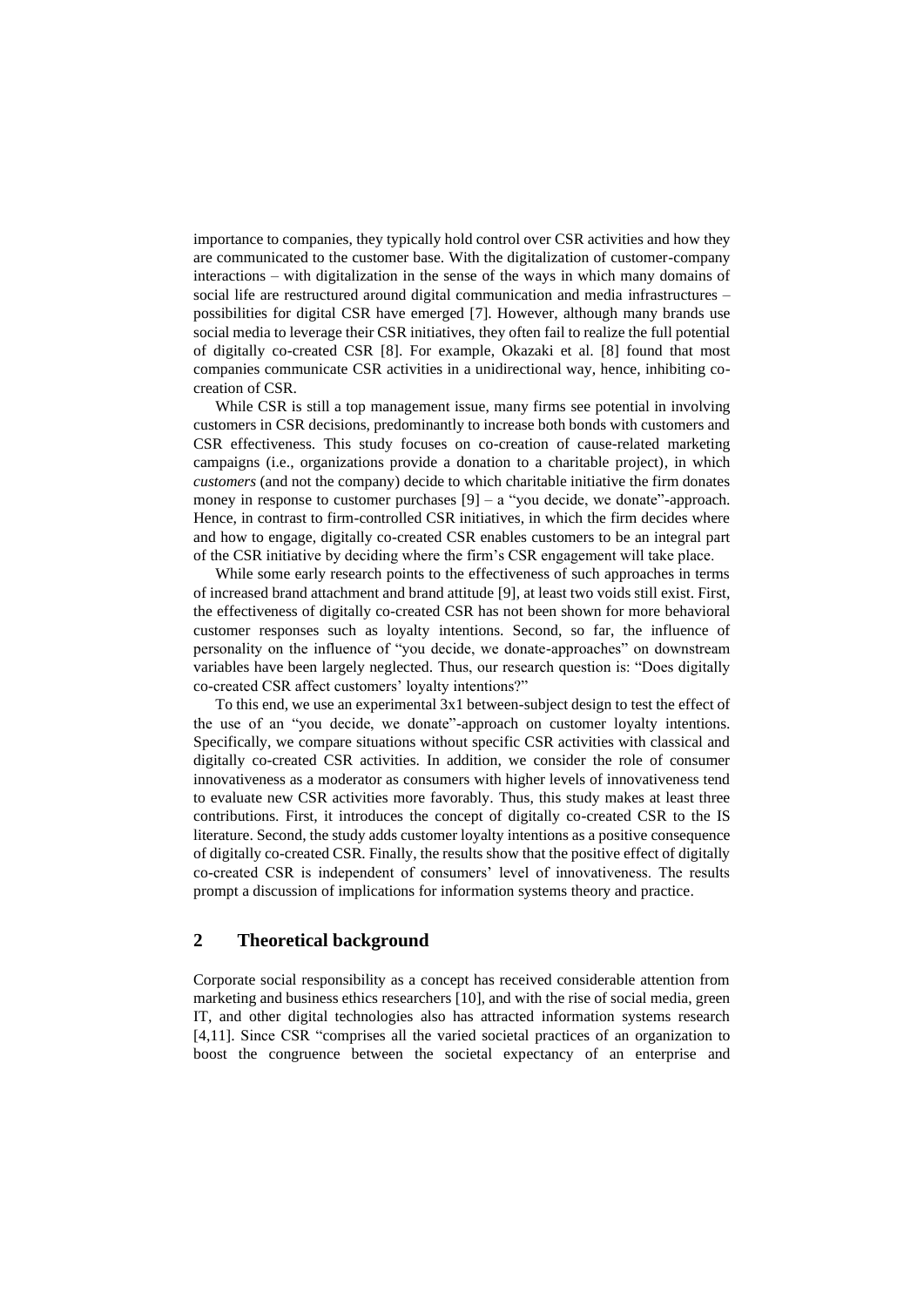importance to companies, they typically hold control over CSR activities and how they are communicated to the customer base. With the digitalization of customer-company interactions – with digitalization in the sense of the ways in which many domains of social life are restructured around digital communication and media infrastructures – possibilities for digital CSR have emerged [7]. However, although many brands use social media to leverage their CSR initiatives, they often fail to realize the full potential of digitally co-created CSR [8]. For example, Okazaki et al. [8] found that most companies communicate CSR activities in a unidirectional way, hence, inhibiting cocreation of CSR.

While CSR is still a top management issue, many firms see potential in involving customers in CSR decisions, predominantly to increase both bonds with customers and CSR effectiveness. This study focuses on co-creation of cause-related marketing campaigns (i.e., organizations provide a donation to a charitable project), in which *customers* (and not the company) decide to which charitable initiative the firm donates money in response to customer purchases  $[9]$  – a "you decide, we donate"-approach. Hence, in contrast to firm-controlled CSR initiatives, in which the firm decides where and how to engage, digitally co-created CSR enables customers to be an integral part of the CSR initiative by deciding where the firm's CSR engagement will take place.

While some early research points to the effectiveness of such approaches in terms of increased brand attachment and brand attitude [9], at least two voids still exist. First, the effectiveness of digitally co-created CSR has not been shown for more behavioral customer responses such as loyalty intentions. Second, so far, the influence of personality on the influence of "you decide, we donate-approaches" on downstream variables have been largely neglected. Thus, our research question is: "Does digitally co-created CSR affect customers' loyalty intentions?"

To this end, we use an experimental 3x1 between-subject design to test the effect of the use of an "you decide, we donate"-approach on customer loyalty intentions. Specifically, we compare situations without specific CSR activities with classical and digitally co-created CSR activities. In addition, we consider the role of consumer innovativeness as a moderator as consumers with higher levels of innovativeness tend to evaluate new CSR activities more favorably. Thus, this study makes at least three contributions. First, it introduces the concept of digitally co-created CSR to the IS literature. Second, the study adds customer loyalty intentions as a positive consequence of digitally co-created CSR. Finally, the results show that the positive effect of digitally co-created CSR is independent of consumers' level of innovativeness. The results prompt a discussion of implications for information systems theory and practice.

## **2 Theoretical background**

Corporate social responsibility as a concept has received considerable attention from marketing and business ethics researchers [10], and with the rise of social media, green IT, and other digital technologies also has attracted information systems research [4,11]. Since CSR "comprises all the varied societal practices of an organization to boost the congruence between the societal expectancy of an enterprise and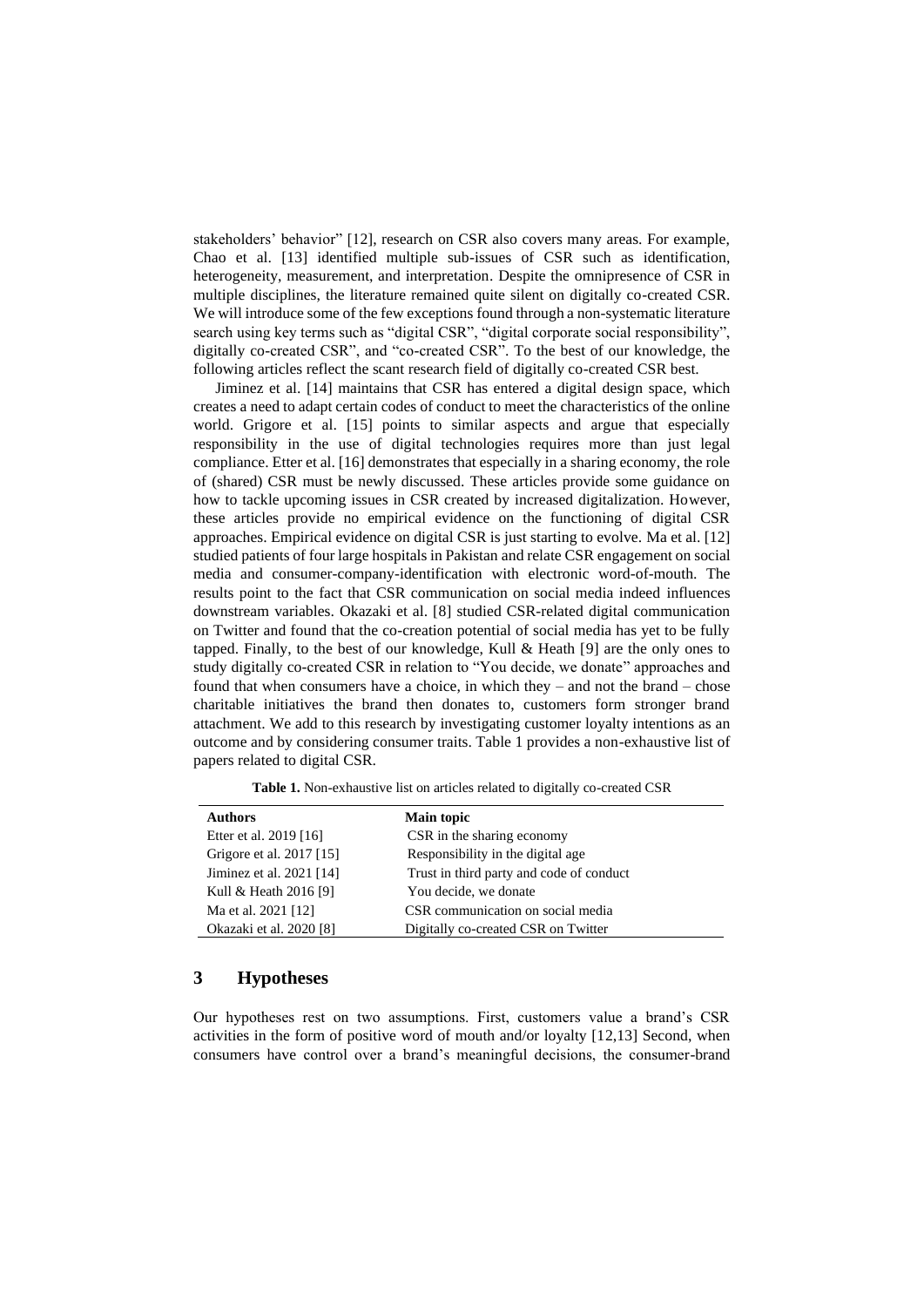stakeholders' behavior" [12], research on CSR also covers many areas. For example, Chao et al. [13] identified multiple sub-issues of CSR such as identification, heterogeneity, measurement, and interpretation. Despite the omnipresence of CSR in multiple disciplines, the literature remained quite silent on digitally co-created CSR. We will introduce some of the few exceptions found through a non-systematic literature search using key terms such as "digital CSR", "digital corporate social responsibility", digitally co-created CSR", and "co-created CSR". To the best of our knowledge, the following articles reflect the scant research field of digitally co-created CSR best.

Jiminez et al. [14] maintains that CSR has entered a digital design space, which creates a need to adapt certain codes of conduct to meet the characteristics of the online world. Grigore et al. [15] points to similar aspects and argue that especially responsibility in the use of digital technologies requires more than just legal compliance. Etter et al. [16] demonstrates that especially in a sharing economy, the role of (shared) CSR must be newly discussed. These articles provide some guidance on how to tackle upcoming issues in CSR created by increased digitalization. However, these articles provide no empirical evidence on the functioning of digital CSR approaches. Empirical evidence on digital CSR is just starting to evolve. Ma et al. [12] studied patients of four large hospitals in Pakistan and relate CSR engagement on social media and consumer-company-identification with electronic word-of-mouth. The results point to the fact that CSR communication on social media indeed influences downstream variables. Okazaki et al. [8] studied CSR-related digital communication on Twitter and found that the co-creation potential of social media has yet to be fully tapped. Finally, to the best of our knowledge, Kull & Heath [9] are the only ones to study digitally co-created CSR in relation to "You decide, we donate" approaches and found that when consumers have a choice, in which they – and not the brand – chose charitable initiatives the brand then donates to, customers form stronger brand attachment. We add to this research by investigating customer loyalty intentions as an outcome and by considering consumer traits. Table 1 provides a non-exhaustive list of papers related to digital CSR.

| <b>Authors</b>           | Main topic                               |
|--------------------------|------------------------------------------|
| Etter et al. 2019 [16]   | CSR in the sharing economy               |
| Grigore et al. 2017 [15] | Responsibility in the digital age        |
| Jiminez et al. 2021 [14] | Trust in third party and code of conduct |
| Kull & Heath 2016 [9]    | You decide, we donate                    |
| Ma et al. 2021 [12]      | CSR communication on social media        |
| Okazaki et al. 2020 [8]  | Digitally co-created CSR on Twitter      |

**Table 1.** Non-exhaustive list on articles related to digitally co-created CSR

## **3 Hypotheses**

Our hypotheses rest on two assumptions. First, customers value a brand's CSR activities in the form of positive word of mouth and/or loyalty [12,13] Second, when consumers have control over a brand's meaningful decisions, the consumer-brand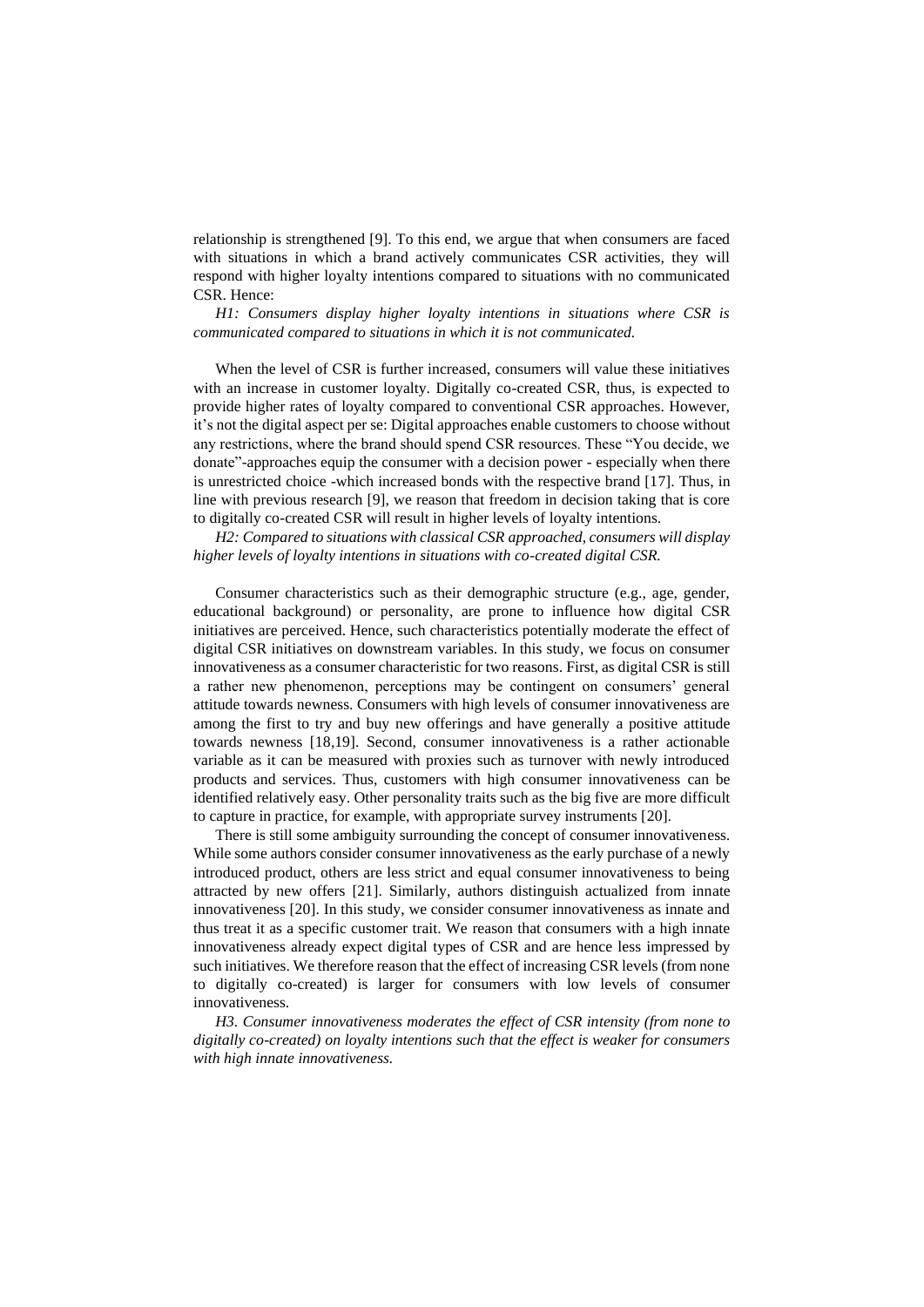relationship is strengthened [9]. To this end, we argue that when consumers are faced with situations in which a brand actively communicates CSR activities, they will respond with higher loyalty intentions compared to situations with no communicated CSR. Hence:

*H1: Consumers display higher loyalty intentions in situations where CSR is communicated compared to situations in which it is not communicated.*

When the level of CSR is further increased, consumers will value these initiatives with an increase in customer loyalty. Digitally co-created CSR, thus, is expected to provide higher rates of loyalty compared to conventional CSR approaches. However, it's not the digital aspect per se: Digital approaches enable customers to choose without any restrictions, where the brand should spend CSR resources. These "You decide, we donate"-approaches equip the consumer with a decision power - especially when there is unrestricted choice -which increased bonds with the respective brand [17]. Thus, in line with previous research [9], we reason that freedom in decision taking that is core to digitally co-created CSR will result in higher levels of loyalty intentions.

*H2: Compared to situations with classical CSR approached, consumers will display higher levels of loyalty intentions in situations with co-created digital CSR.*

Consumer characteristics such as their demographic structure (e.g., age, gender, educational background) or personality, are prone to influence how digital CSR initiatives are perceived. Hence, such characteristics potentially moderate the effect of digital CSR initiatives on downstream variables. In this study, we focus on consumer innovativeness as a consumer characteristic for two reasons. First, as digital CSR is still a rather new phenomenon, perceptions may be contingent on consumers' general attitude towards newness. Consumers with high levels of consumer innovativeness are among the first to try and buy new offerings and have generally a positive attitude towards newness [18,19]. Second, consumer innovativeness is a rather actionable variable as it can be measured with proxies such as turnover with newly introduced products and services. Thus, customers with high consumer innovativeness can be identified relatively easy. Other personality traits such as the big five are more difficult to capture in practice, for example, with appropriate survey instruments [20].

There is still some ambiguity surrounding the concept of consumer innovativeness. While some authors consider consumer innovativeness as the early purchase of a newly introduced product, others are less strict and equal consumer innovativeness to being attracted by new offers [21]. Similarly, authors distinguish actualized from innate innovativeness [20]. In this study, we consider consumer innovativeness as innate and thus treat it as a specific customer trait. We reason that consumers with a high innate innovativeness already expect digital types of CSR and are hence less impressed by such initiatives. We therefore reason that the effect of increasing CSR levels (from none to digitally co-created) is larger for consumers with low levels of consumer innovativeness.

*H3. Consumer innovativeness moderates the effect of CSR intensity (from none to digitally co-created) on loyalty intentions such that the effect is weaker for consumers with high innate innovativeness.*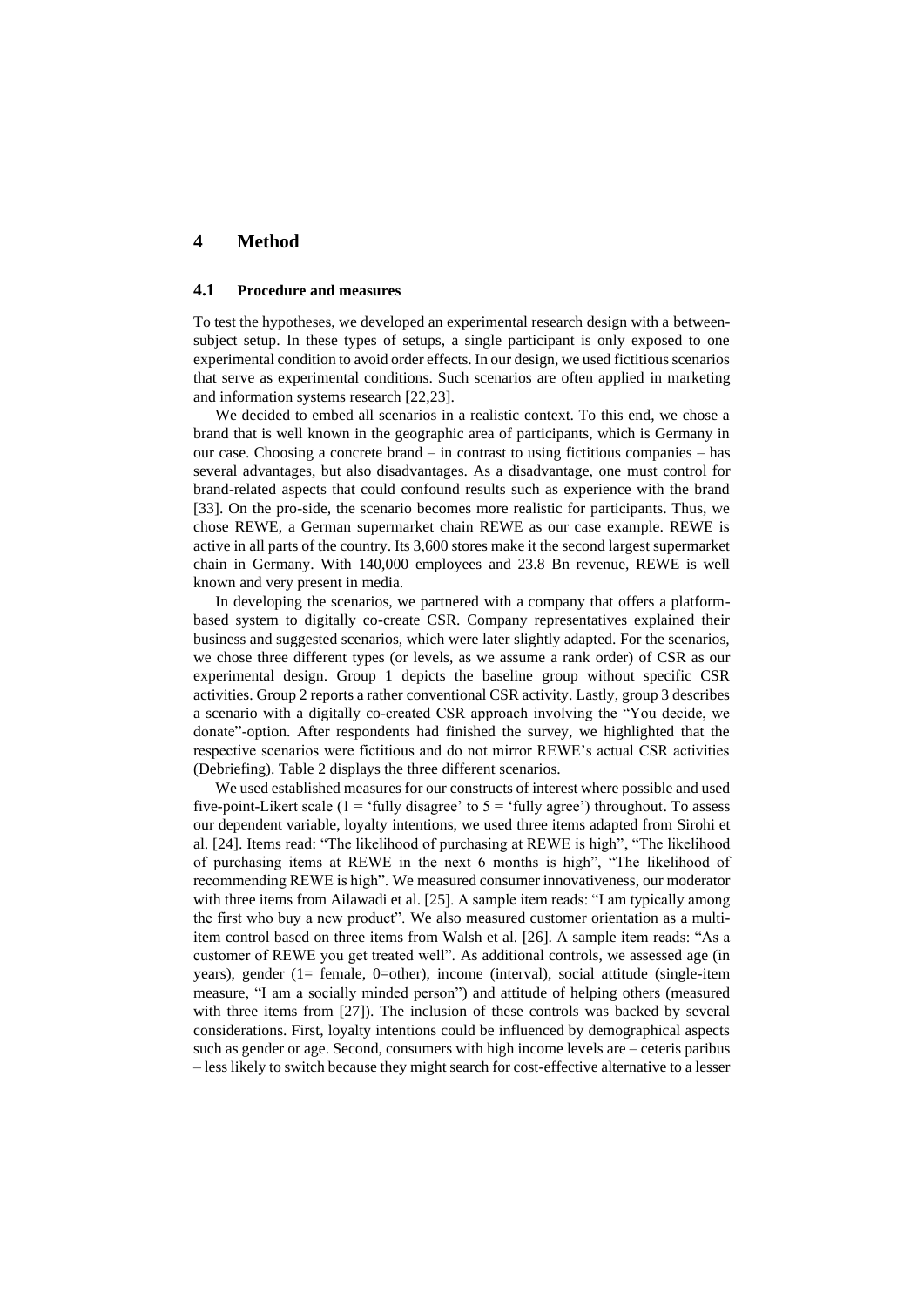## **4 Method**

#### **4.1 Procedure and measures**

To test the hypotheses, we developed an experimental research design with a betweensubject setup. In these types of setups, a single participant is only exposed to one experimental condition to avoid order effects. In our design, we used fictitious scenarios that serve as experimental conditions. Such scenarios are often applied in marketing and information systems research [22,23].

We decided to embed all scenarios in a realistic context. To this end, we chose a brand that is well known in the geographic area of participants, which is Germany in our case. Choosing a concrete brand – in contrast to using fictitious companies – has several advantages, but also disadvantages. As a disadvantage, one must control for brand-related aspects that could confound results such as experience with the brand [33]. On the pro-side, the scenario becomes more realistic for participants. Thus, we chose REWE, a German supermarket chain REWE as our case example. REWE is active in all parts of the country. Its 3,600 stores make it the second largest supermarket chain in Germany. With 140,000 employees and 23.8 Bn revenue, REWE is well known and very present in media.

In developing the scenarios, we partnered with a company that offers a platformbased system to digitally co-create CSR. Company representatives explained their business and suggested scenarios, which were later slightly adapted. For the scenarios, we chose three different types (or levels, as we assume a rank order) of CSR as our experimental design. Group 1 depicts the baseline group without specific CSR activities. Group 2 reports a rather conventional CSR activity. Lastly, group 3 describes a scenario with a digitally co-created CSR approach involving the "You decide, we donate"-option. After respondents had finished the survey, we highlighted that the respective scenarios were fictitious and do not mirror REWE's actual CSR activities (Debriefing). Table 2 displays the three different scenarios.

We used established measures for our constructs of interest where possible and used five-point-Likert scale (1 = 'fully disagree' to  $5$  = 'fully agree') throughout. To assess our dependent variable, loyalty intentions, we used three items adapted from Sirohi et al. [24]. Items read: "The likelihood of purchasing at REWE is high", "The likelihood of purchasing items at REWE in the next 6 months is high", "The likelihood of recommending REWE is high". We measured consumer innovativeness, our moderator with three items from Ailawadi et al. [25]. A sample item reads: "I am typically among the first who buy a new product". We also measured customer orientation as a multiitem control based on three items from Walsh et al. [26]. A sample item reads: "As a customer of REWE you get treated well". As additional controls, we assessed age (in years), gender (1= female, 0=other), income (interval), social attitude (single-item measure, "I am a socially minded person") and attitude of helping others (measured with three items from [27]). The inclusion of these controls was backed by several considerations. First, loyalty intentions could be influenced by demographical aspects such as gender or age. Second, consumers with high income levels are – ceteris paribus – less likely to switch because they might search for cost-effective alternative to a lesser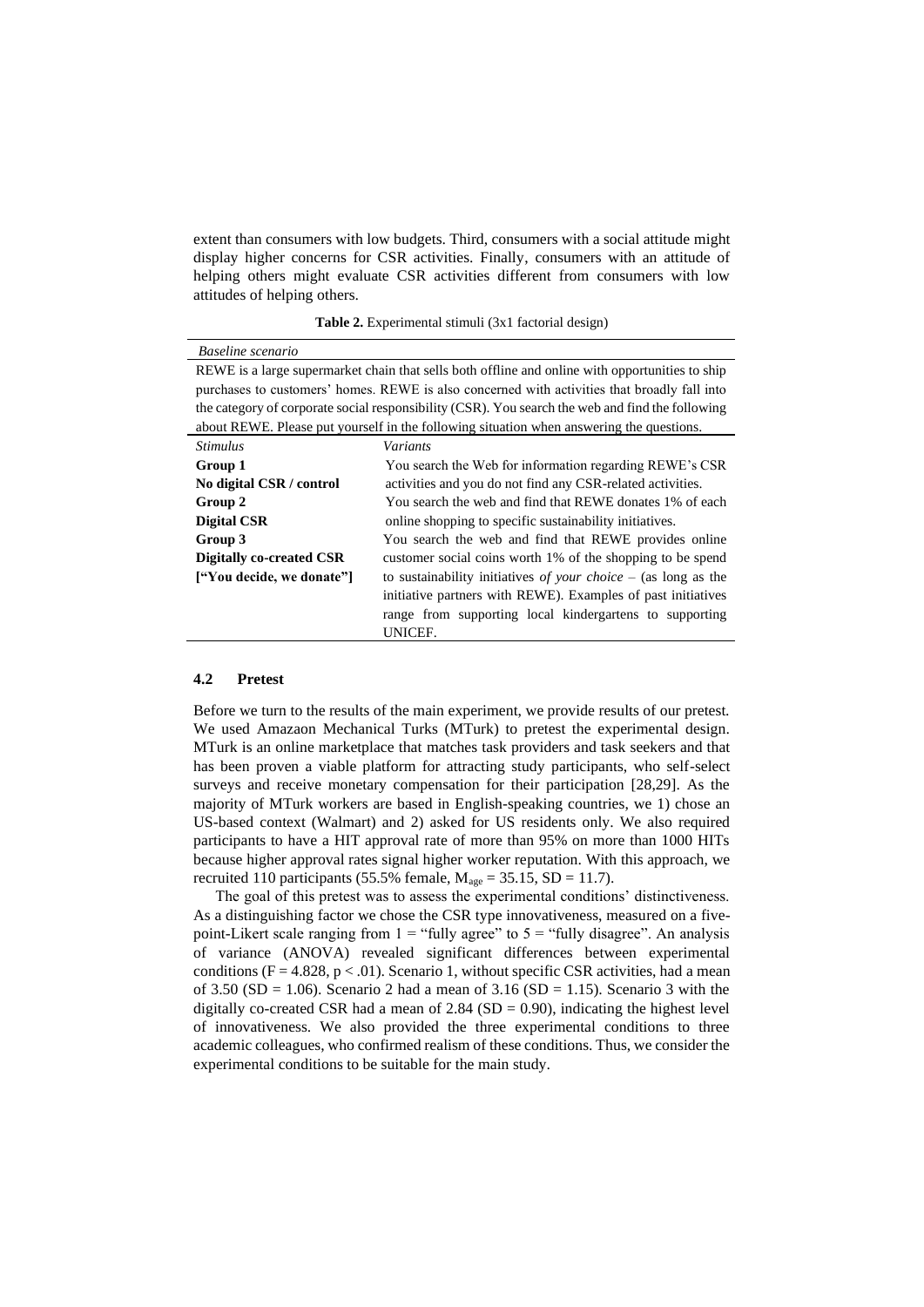extent than consumers with low budgets. Third, consumers with a social attitude might display higher concerns for CSR activities. Finally, consumers with an attitude of helping others might evaluate CSR activities different from consumers with low attitudes of helping others.

|  | Table 2. Experimental stimuli (3x1 factorial design) |  |  |  |
|--|------------------------------------------------------|--|--|--|
|--|------------------------------------------------------|--|--|--|

| Baseline scenario                                                                                |                                                                  |  |  |  |
|--------------------------------------------------------------------------------------------------|------------------------------------------------------------------|--|--|--|
| REWE is a large supermarket chain that sells both offline and online with opportunities to ship  |                                                                  |  |  |  |
| purchases to customers' homes. REWE is also concerned with activities that broadly fall into     |                                                                  |  |  |  |
| the category of corporate social responsibility (CSR). You search the web and find the following |                                                                  |  |  |  |
| about REWE. Please put yourself in the following situation when answering the questions.         |                                                                  |  |  |  |
| <i><b>Stimulus</b></i>                                                                           | <i>Variants</i>                                                  |  |  |  |
| Group 1                                                                                          | You search the Web for information regarding REWE's CSR          |  |  |  |
| No digital CSR / control                                                                         | activities and you do not find any CSR-related activities.       |  |  |  |
| Group 2                                                                                          | You search the web and find that REWE donates 1% of each         |  |  |  |
| <b>Digital CSR</b>                                                                               | online shopping to specific sustainability initiatives.          |  |  |  |
| Group 3                                                                                          | You search the web and find that REWE provides online            |  |  |  |
| Digitally co-created CSR                                                                         | customer social coins worth 1% of the shopping to be spend       |  |  |  |
| ["You decide, we donate"]                                                                        | to sustainability initiatives of your choice $-$ (as long as the |  |  |  |
|                                                                                                  | initiative partners with REWE). Examples of past initiatives     |  |  |  |
|                                                                                                  | range from supporting local kindergartens to supporting          |  |  |  |
|                                                                                                  | UNICEF.                                                          |  |  |  |

#### **4.2 Pretest**

Before we turn to the results of the main experiment, we provide results of our pretest. We used Amazaon Mechanical Turks (MTurk) to pretest the experimental design. MTurk is an online marketplace that matches task providers and task seekers and that has been proven a viable platform for attracting study participants, who self-select surveys and receive monetary compensation for their participation [28,29]. As the majority of MTurk workers are based in English-speaking countries, we 1) chose an US-based context (Walmart) and 2) asked for US residents only. We also required participants to have a HIT approval rate of more than 95% on more than 1000 HITs because higher approval rates signal higher worker reputation. With this approach, we recruited 110 participants (55.5% female,  $M_{\text{age}} = 35.15$ , SD = 11.7).

The goal of this pretest was to assess the experimental conditions' distinctiveness. As a distinguishing factor we chose the CSR type innovativeness, measured on a fivepoint-Likert scale ranging from  $1 =$  "fully agree" to  $5 =$  "fully disagree". An analysis of variance (ANOVA) revealed significant differences between experimental conditions ( $F = 4.828$ ,  $p < .01$ ). Scenario 1, without specific CSR activities, had a mean of 3.50 (SD = 1.06). Scenario 2 had a mean of 3.16 (SD = 1.15). Scenario 3 with the digitally co-created CSR had a mean of  $2.84$  (SD = 0.90), indicating the highest level of innovativeness. We also provided the three experimental conditions to three academic colleagues, who confirmed realism of these conditions. Thus, we consider the experimental conditions to be suitable for the main study.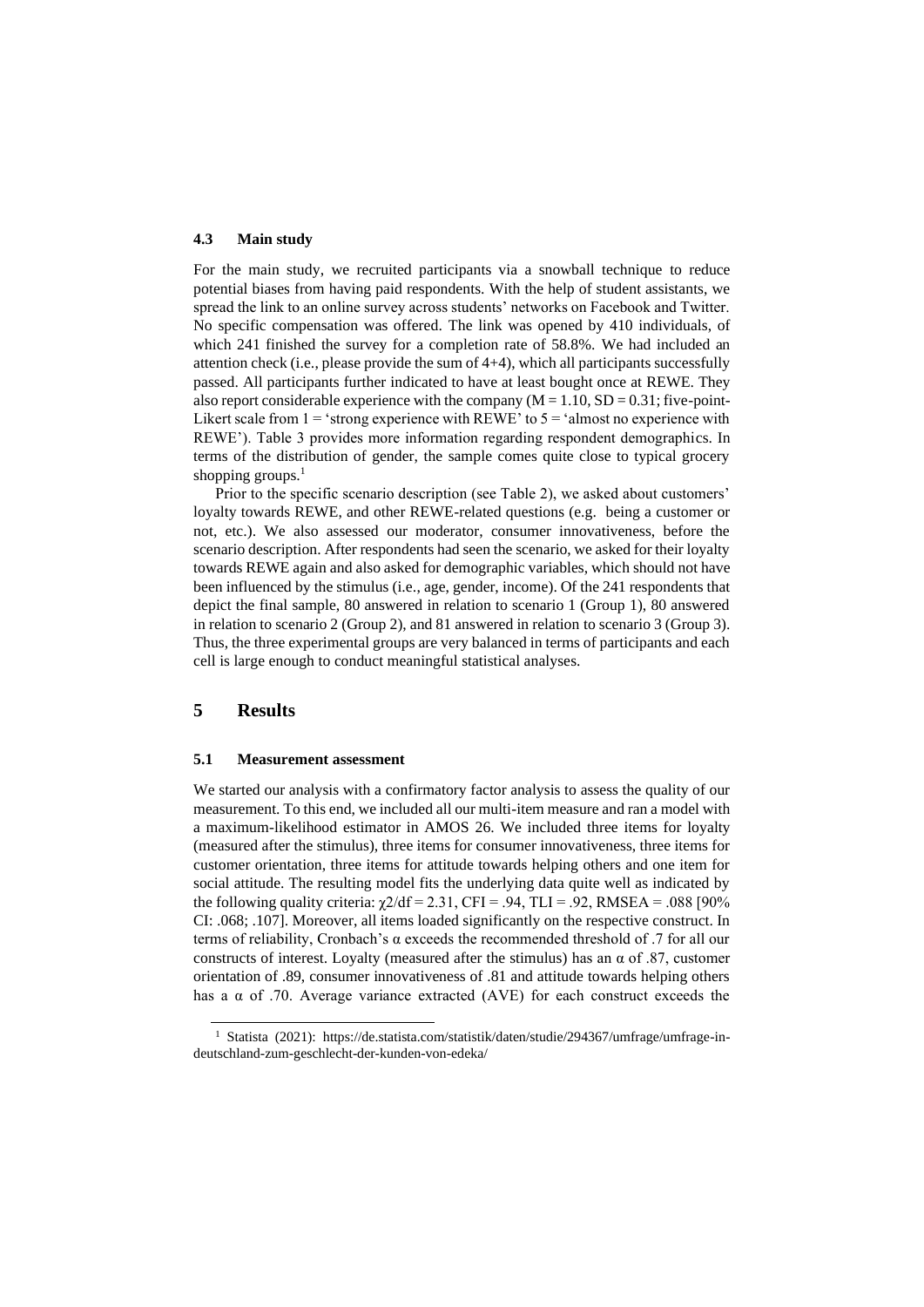#### **4.3 Main study**

For the main study, we recruited participants via a snowball technique to reduce potential biases from having paid respondents. With the help of student assistants, we spread the link to an online survey across students' networks on Facebook and Twitter. No specific compensation was offered. The link was opened by 410 individuals, of which 241 finished the survey for a completion rate of 58.8%. We had included an attention check (i.e., please provide the sum of 4+4), which all participants successfully passed. All participants further indicated to have at least bought once at REWE. They also report considerable experience with the company  $(M = 1.10, SD = 0.31$ ; five-point-Likert scale from  $1 = 'strong experience with REWE'$  to  $5 = 'almost no experience with$ REWE'). Table 3 provides more information regarding respondent demographics. In terms of the distribution of gender, the sample comes quite close to typical grocery shopping groups.<sup>1</sup>

Prior to the specific scenario description (see Table 2), we asked about customers' loyalty towards REWE, and other REWE-related questions (e.g. being a customer or not, etc.). We also assessed our moderator, consumer innovativeness, before the scenario description. After respondents had seen the scenario, we asked for their loyalty towards REWE again and also asked for demographic variables, which should not have been influenced by the stimulus (i.e., age, gender, income). Of the 241 respondents that depict the final sample, 80 answered in relation to scenario 1 (Group 1), 80 answered in relation to scenario 2 (Group 2), and 81 answered in relation to scenario 3 (Group 3). Thus, the three experimental groups are very balanced in terms of participants and each cell is large enough to conduct meaningful statistical analyses.

## **5 Results**

#### **5.1 Measurement assessment**

We started our analysis with a confirmatory factor analysis to assess the quality of our measurement. To this end, we included all our multi-item measure and ran a model with a maximum-likelihood estimator in AMOS 26. We included three items for loyalty (measured after the stimulus), three items for consumer innovativeness, three items for customer orientation, three items for attitude towards helping others and one item for social attitude. The resulting model fits the underlying data quite well as indicated by the following quality criteria:  $\gamma/2/df = 2.31$ , CFI = .94, TLI = .92, RMSEA = .088 [90%] CI: .068; .107]. Moreover, all items loaded significantly on the respective construct. In terms of reliability, Cronbach's α exceeds the recommended threshold of .7 for all our constructs of interest. Loyalty (measured after the stimulus) has an  $\alpha$  of .87, customer orientation of .89, consumer innovativeness of .81 and attitude towards helping others has a  $\alpha$  of .70. Average variance extracted (AVE) for each construct exceeds the

<sup>1</sup> Statista (2021): https://de.statista.com/statistik/daten/studie/294367/umfrage/umfrage-indeutschland-zum-geschlecht-der-kunden-von-edeka/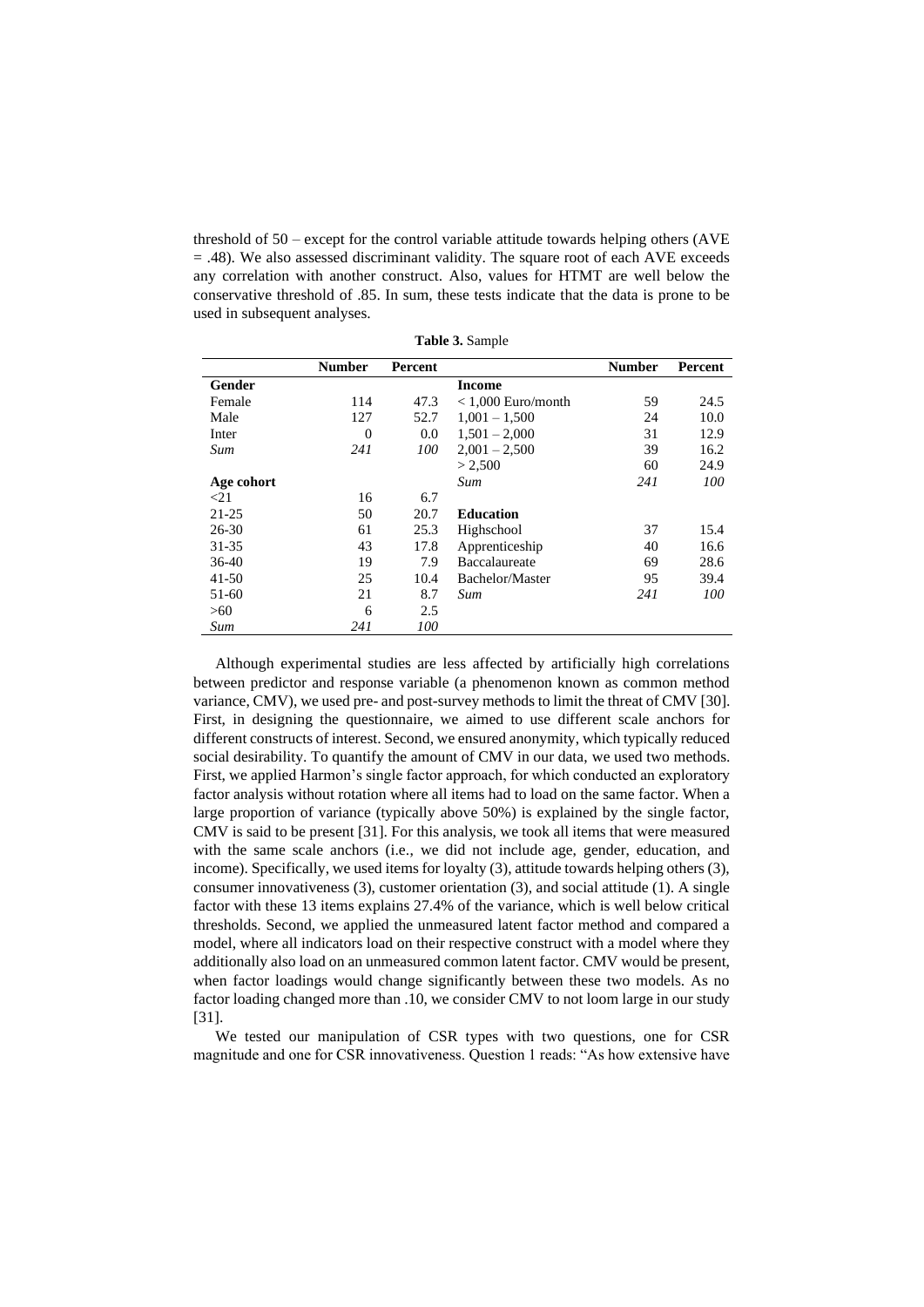threshold of 50 – except for the control variable attitude towards helping others (AVE = .48). We also assessed discriminant validity. The square root of each AVE exceeds any correlation with another construct. Also, values for HTMT are well below the conservative threshold of .85. In sum, these tests indicate that the data is prone to be used in subsequent analyses.

|            | <b>Number</b> | <b>Percent</b> |                      | <b>Number</b> | Percent |
|------------|---------------|----------------|----------------------|---------------|---------|
| Gender     |               |                | <b>Income</b>        |               |         |
| Female     | 114           | 47.3           | $< 1,000$ Euro/month | 59            | 24.5    |
| Male       | 127           | 52.7           | $1.001 - 1.500$      | 24            | 10.0    |
| Inter      | $\Omega$      | 0.0            | $1,501 - 2,000$      | 31            | 12.9    |
| Sum        | 241           | 100            | $2.001 - 2.500$      | 39            | 16.2    |
|            |               |                | > 2,500              | 60            | 24.9    |
| Age cohort |               |                | Sum                  | 241           | 100     |
| $<$ 21     | 16            | 6.7            |                      |               |         |
| $21 - 25$  | 50            | 20.7           | <b>Education</b>     |               |         |
| $26 - 30$  | 61            | 25.3           | Highschool           | 37            | 15.4    |
| $31 - 35$  | 43            | 17.8           | Apprenticeship<br>40 |               | 16.6    |
| $36-40$    | 19            | 7.9            | Baccalaureate<br>69  |               | 28.6    |
| $41 - 50$  | 25            | 10.4           | Bachelor/Master      | 95            | 39.4    |
| 51-60      | 21            | 8.7            | Sum                  | 241           | 100     |
| >60        | 6             | 2.5            |                      |               |         |
| Sum        | 241           | 100            |                      |               |         |

**Table 3.** Sample

Although experimental studies are less affected by artificially high correlations between predictor and response variable (a phenomenon known as common method variance, CMV), we used pre- and post-survey methods to limit the threat of CMV [30]. First, in designing the questionnaire, we aimed to use different scale anchors for different constructs of interest. Second, we ensured anonymity, which typically reduced social desirability. To quantify the amount of CMV in our data, we used two methods. First, we applied Harmon's single factor approach, for which conducted an exploratory factor analysis without rotation where all items had to load on the same factor. When a large proportion of variance (typically above 50%) is explained by the single factor, CMV is said to be present [31]. For this analysis, we took all items that were measured with the same scale anchors (i.e., we did not include age, gender, education, and income). Specifically, we used items for loyalty (3), attitude towards helping others (3), consumer innovativeness (3), customer orientation (3), and social attitude (1). A single factor with these 13 items explains 27.4% of the variance, which is well below critical thresholds. Second, we applied the unmeasured latent factor method and compared a model, where all indicators load on their respective construct with a model where they additionally also load on an unmeasured common latent factor. CMV would be present, when factor loadings would change significantly between these two models. As no factor loading changed more than .10, we consider CMV to not loom large in our study [31].

We tested our manipulation of CSR types with two questions, one for CSR magnitude and one for CSR innovativeness. Question 1 reads: "As how extensive have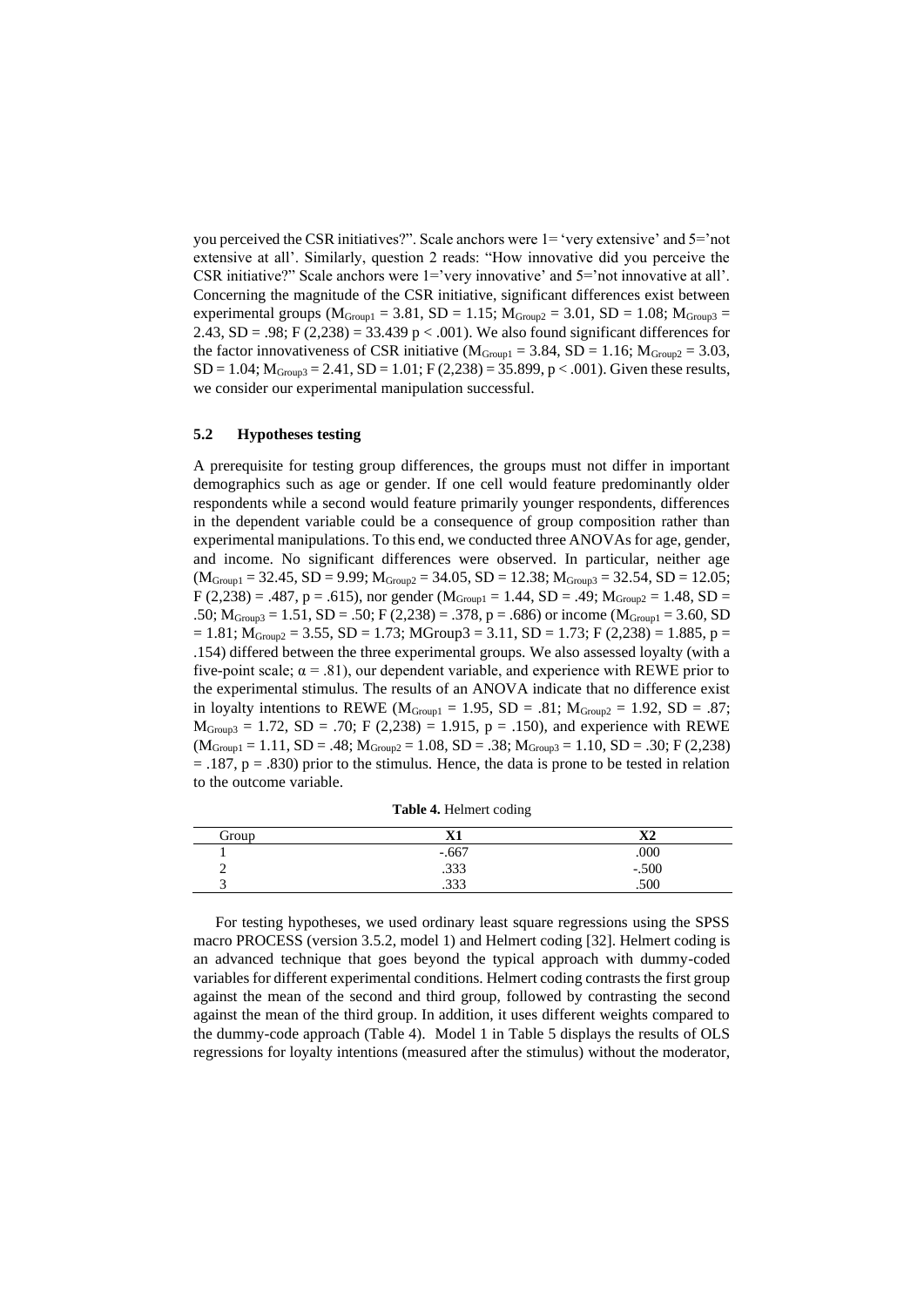you perceived the CSR initiatives?". Scale anchors were 1= 'very extensive' and 5='not extensive at all'. Similarly, question 2 reads: "How innovative did you perceive the CSR initiative?" Scale anchors were  $1 =$ 'very innovative' and  $5 =$ 'not innovative at all'. Concerning the magnitude of the CSR initiative, significant differences exist between experimental groups ( $M_{Group1} = 3.81$ , SD = 1.15;  $M_{Group2} = 3.01$ , SD = 1.08;  $M_{Group3} =$ 2.43, SD = .98; F (2,238) = 33.439 p < .001). We also found significant differences for the factor innovativeness of CSR initiative ( $M_{Group1} = 3.84$ , SD = 1.16;  $M_{Group2} = 3.03$ ,  $SD = 1.04$ ;  $M_{Group3} = 2.41$ ,  $SD = 1.01$ ;  $F(2,238) = 35.899$ ,  $p < .001$ ). Given these results, we consider our experimental manipulation successful.

#### **5.2 Hypotheses testing**

A prerequisite for testing group differences, the groups must not differ in important demographics such as age or gender. If one cell would feature predominantly older respondents while a second would feature primarily younger respondents, differences in the dependent variable could be a consequence of group composition rather than experimental manipulations. To this end, we conducted three ANOVAs for age, gender, and income. No significant differences were observed. In particular, neither age  $(M_{Group1} = 32.45, SD = 9.99; M_{Group2} = 34.05, SD = 12.38; M_{Group3} = 32.54, SD = 12.05;$  $F (2,238) = .487, p = .615$ , nor gender (M<sub>Group1</sub> = 1.44, SD = .49; M<sub>Group2</sub> = 1.48, SD = .50;  $M_{Group3} = 1.51$ ,  $SD = .50$ ;  $F (2,238) = .378$ ,  $p = .686$ ) or income ( $M_{Group1} = 3.60$ ,  $SD$  $= 1.81$ ;  $M_{Group2} = 3.55$ ,  $SD = 1.73$ ;  $MGroup3 = 3.11$ ,  $SD = 1.73$ ;  $F (2,238) = 1.885$ ,  $p =$ .154) differed between the three experimental groups. We also assessed loyalty (with a five-point scale;  $\alpha = .81$ ), our dependent variable, and experience with REWE prior to the experimental stimulus. The results of an ANOVA indicate that no difference exist in loyalty intentions to REWE ( $M_{Group1} = 1.95$ , SD = .81;  $M_{Group2} = 1.92$ , SD = .87;  $M_{\text{Group3}} = 1.72$ , SD = .70; F (2,238) = 1.915, p = .150), and experience with REWE  $(M_{Group1} = 1.11, SD = .48; M_{Group2} = 1.08, SD = .38; M_{Group3} = 1.10, SD = .30; F (2,238)$  $= .187$ ,  $p = .830$ ) prior to the stimulus. Hence, the data is prone to be tested in relation to the outcome variable.

**Table 4.** Helmert coding

| Group | V <sub>1</sub><br>28 L       | $\mathbf{v}$<br>^∸ |
|-------|------------------------------|--------------------|
|       | $-.667$                      | .000               |
|       | 222<br>                      | $-.500$            |
|       | $\overline{\phantom{a}}$<br> | .500               |

For testing hypotheses, we used ordinary least square regressions using the SPSS macro PROCESS (version 3.5.2, model 1) and Helmert coding [32]. Helmert coding is an advanced technique that goes beyond the typical approach with dummy-coded variables for different experimental conditions. Helmert coding contrasts the first group against the mean of the second and third group, followed by contrasting the second against the mean of the third group. In addition, it uses different weights compared to the dummy-code approach (Table 4). Model 1 in Table 5 displays the results of OLS regressions for loyalty intentions (measured after the stimulus) without the moderator,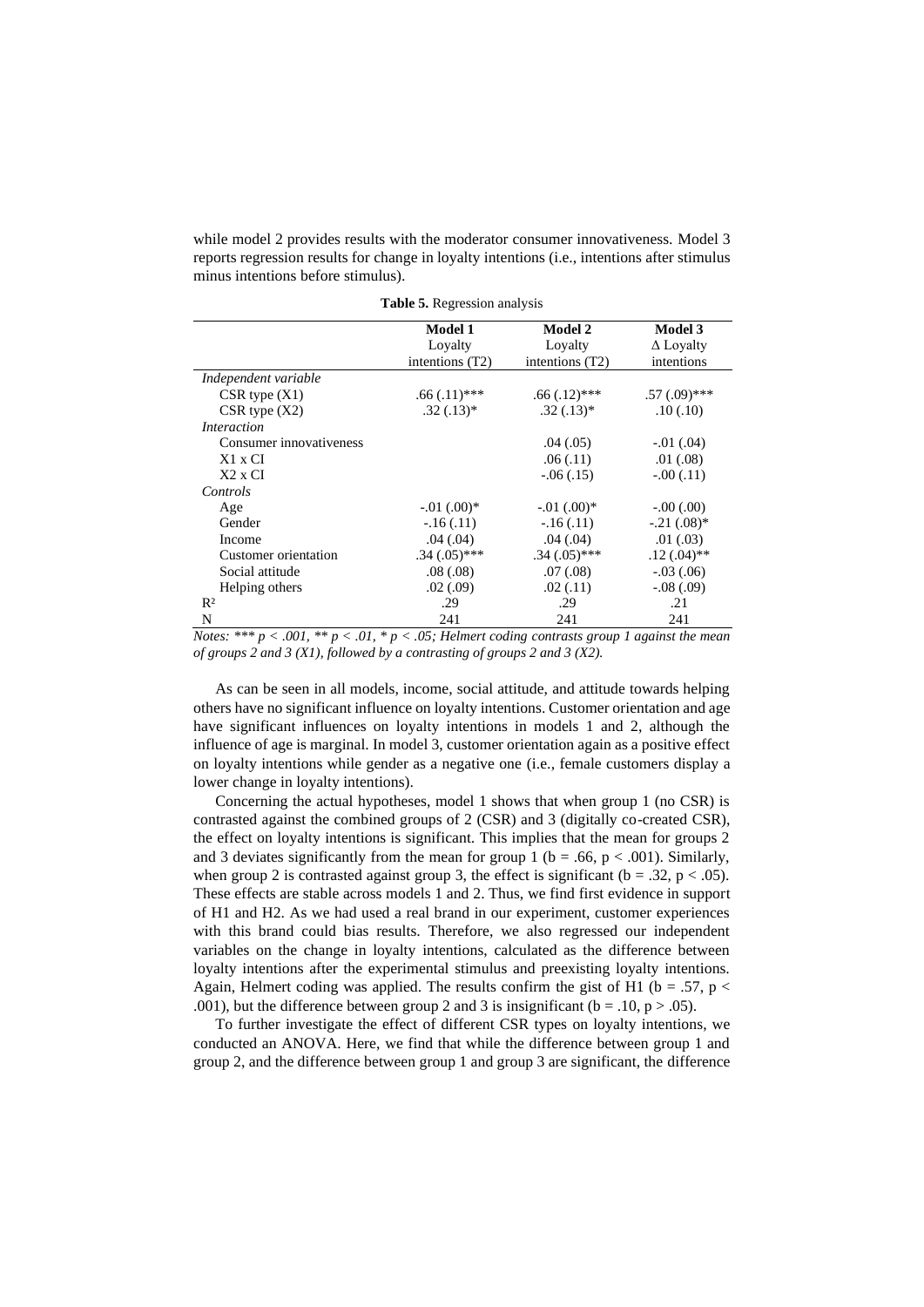while model 2 provides results with the moderator consumer innovativeness. Model 3 reports regression results for change in loyalty intentions (i.e., intentions after stimulus minus intentions before stimulus).

|                         | <b>Model 1</b>    | <b>Model 2</b>  | <b>Model 3</b>   |
|-------------------------|-------------------|-----------------|------------------|
|                         | Loyalty           | Loyalty         | $\Delta$ Loyalty |
|                         | intentions $(T2)$ | intentions (T2) | intentions       |
| Independent variable    |                   |                 |                  |
| $CSR$ type $(X1)$       | $.66(.11)$ ***    | $.66(.12)$ ***  | $.57(.09)$ ***   |
| $CSR$ type $(X2)$       | $.32(.13)*$       | $.32(.13)*$     | .10(.10)         |
| Interaction             |                   |                 |                  |
| Consumer innovativeness |                   | .04(0.05)       | $-0.01(0.04)$    |
| $X1 \times CI$          |                   | .06(.11)        | .01(.08)         |
| $X2 \times CI$          |                   | $-.06(.15)$     | $-.00(.11)$      |
| Controls                |                   |                 |                  |
| Age                     | $-.01(.00)*$      | $-.01(.00)*$    | $-0.00(0.00)$    |
| Gender                  | $-16(0.11)$       | $-16(0.11)$     | $-.21(.08)*$     |
| Income                  | .04(.04)          | .04(.04)        | .01(.03)         |
| Customer orientation    | $.34(.05)$ ***    | $.34(.05)$ ***  | $.12(.04)$ **    |
| Social attitude         | .08(.08)          | .07(.08)        | $-.03(.06)$      |
| Helping others          | .02(.09)          | .02(.11)        | $-.08(.09)$      |
| $R^2$                   | .29               | .29             | .21              |
| N                       | 241               | 241             | 241              |

**Table 5.** Regression analysis

*Notes:* \*\*\*  $p < .001$ , \*\*  $p < .01$ , \*  $p < .05$ ; Helmert coding contrasts group 1 against the mean *of groups 2 and 3 (X1), followed by a contrasting of groups 2 and 3 (X2).*

As can be seen in all models, income, social attitude, and attitude towards helping others have no significant influence on loyalty intentions. Customer orientation and age have significant influences on loyalty intentions in models 1 and 2, although the influence of age is marginal. In model 3, customer orientation again as a positive effect on loyalty intentions while gender as a negative one (i.e., female customers display a lower change in loyalty intentions).

Concerning the actual hypotheses, model 1 shows that when group 1 (no CSR) is contrasted against the combined groups of 2 (CSR) and 3 (digitally co-created CSR), the effect on loyalty intentions is significant. This implies that the mean for groups 2 and 3 deviates significantly from the mean for group 1 ( $b = .66$ ,  $p < .001$ ). Similarly, when group 2 is contrasted against group 3, the effect is significant ( $b = .32$ ,  $p < .05$ ). These effects are stable across models 1 and 2. Thus, we find first evidence in support of H1 and H2. As we had used a real brand in our experiment, customer experiences with this brand could bias results. Therefore, we also regressed our independent variables on the change in loyalty intentions, calculated as the difference between loyalty intentions after the experimental stimulus and preexisting loyalty intentions. Again, Helmert coding was applied. The results confirm the gist of H1 ( $b = .57$ ,  $p <$ .001), but the difference between group 2 and 3 is insignificant ( $b = .10$ ,  $p > .05$ ).

To further investigate the effect of different CSR types on loyalty intentions, we conducted an ANOVA. Here, we find that while the difference between group 1 and group 2, and the difference between group 1 and group 3 are significant, the difference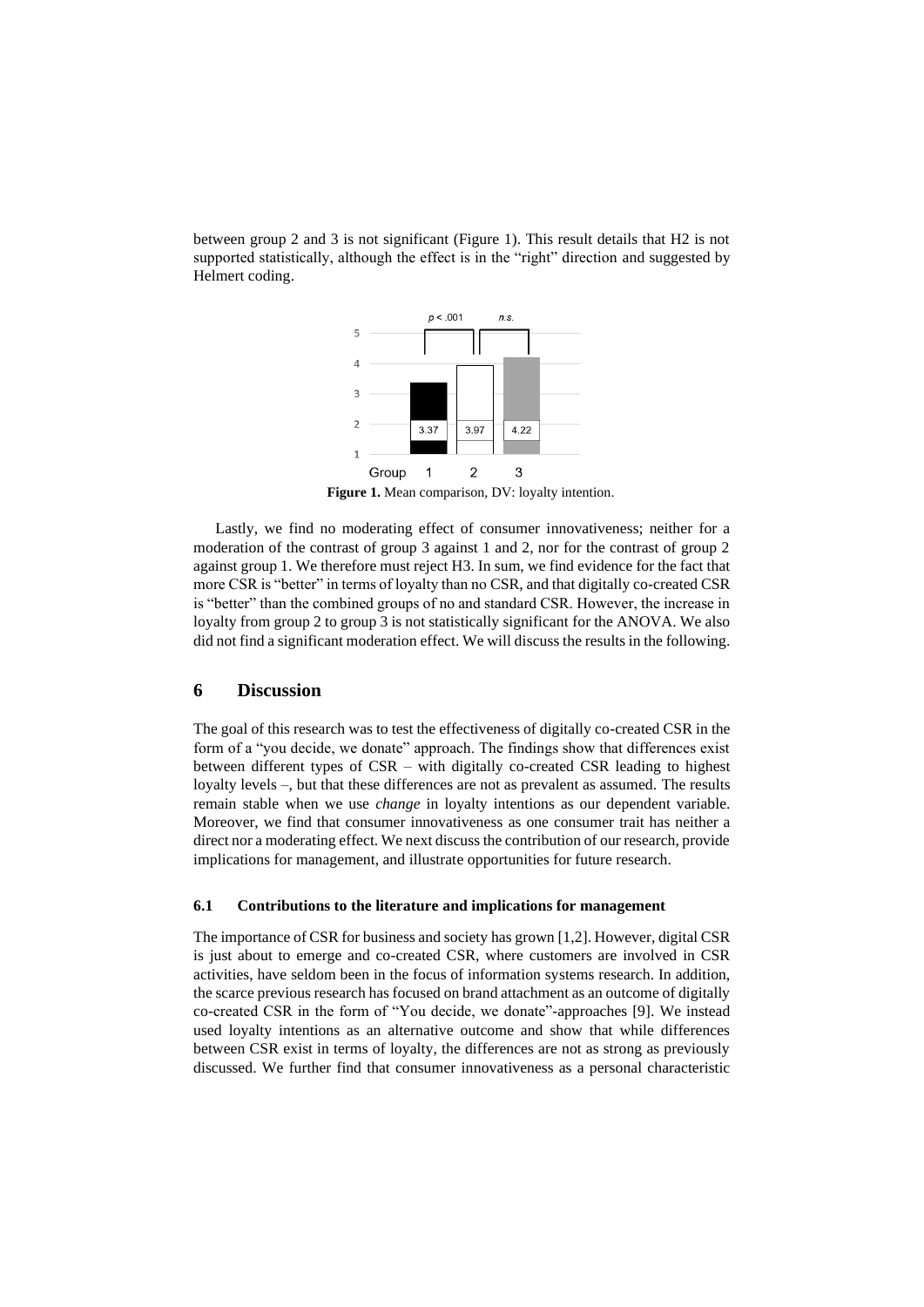between group 2 and 3 is not significant (Figure 1). This result details that H2 is not supported statistically, although the effect is in the "right" direction and suggested by Helmert coding.



**Figure 1.** Mean comparison, DV: loyalty intention.

Lastly, we find no moderating effect of consumer innovativeness; neither for a moderation of the contrast of group 3 against 1 and 2, nor for the contrast of group 2 against group 1. We therefore must reject H3. In sum, we find evidence for the fact that more CSR is "better" in terms of loyalty than no CSR, and that digitally co-created CSR is "better" than the combined groups of no and standard CSR. However, the increase in loyalty from group 2 to group 3 is not statistically significant for the ANOVA. We also did not find a significant moderation effect. We will discuss the results in the following.

#### **6 Discussion**

The goal of this research was to test the effectiveness of digitally co-created CSR in the form of a "you decide, we donate" approach. The findings show that differences exist between different types of CSR – with digitally co-created CSR leading to highest loyalty levels –, but that these differences are not as prevalent as assumed. The results remain stable when we use *change* in loyalty intentions as our dependent variable. Moreover, we find that consumer innovativeness as one consumer trait has neither a direct nor a moderating effect. We next discuss the contribution of our research, provide implications for management, and illustrate opportunities for future research.

#### **6.1 Contributions to the literature and implications for management**

The importance of CSR for business and society has grown [1,2]. However, digital CSR is just about to emerge and co-created CSR, where customers are involved in CSR activities, have seldom been in the focus of information systems research. In addition, the scarce previous research has focused on brand attachment as an outcome of digitally co-created CSR in the form of "You decide, we donate"-approaches [9]. We instead used loyalty intentions as an alternative outcome and show that while differences between CSR exist in terms of loyalty, the differences are not as strong as previously discussed. We further find that consumer innovativeness as a personal characteristic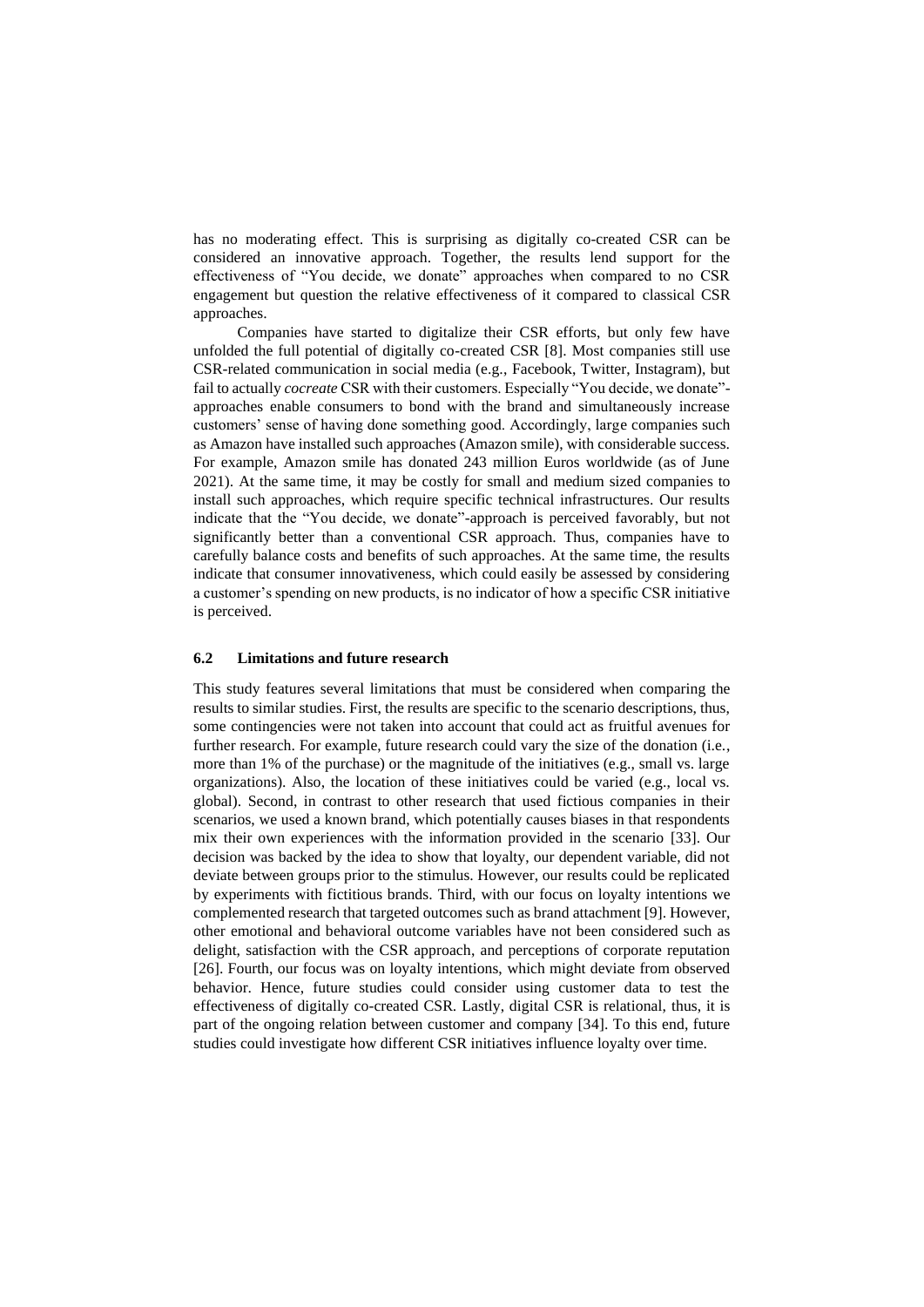has no moderating effect. This is surprising as digitally co-created CSR can be considered an innovative approach. Together, the results lend support for the effectiveness of "You decide, we donate" approaches when compared to no CSR engagement but question the relative effectiveness of it compared to classical CSR approaches.

Companies have started to digitalize their CSR efforts, but only few have unfolded the full potential of digitally co-created CSR [8]. Most companies still use CSR-related communication in social media (e.g., Facebook, Twitter, Instagram), but fail to actually *cocreate* CSR with their customers. Especially "You decide, we donate" approaches enable consumers to bond with the brand and simultaneously increase customers' sense of having done something good. Accordingly, large companies such as Amazon have installed such approaches (Amazon smile), with considerable success. For example, Amazon smile has donated 243 million Euros worldwide (as of June 2021). At the same time, it may be costly for small and medium sized companies to install such approaches, which require specific technical infrastructures. Our results indicate that the "You decide, we donate"-approach is perceived favorably, but not significantly better than a conventional CSR approach. Thus, companies have to carefully balance costs and benefits of such approaches. At the same time, the results indicate that consumer innovativeness, which could easily be assessed by considering a customer's spending on new products, is no indicator of how a specific CSR initiative is perceived.

#### **6.2 Limitations and future research**

This study features several limitations that must be considered when comparing the results to similar studies. First, the results are specific to the scenario descriptions, thus, some contingencies were not taken into account that could act as fruitful avenues for further research. For example, future research could vary the size of the donation (i.e., more than 1% of the purchase) or the magnitude of the initiatives (e.g., small vs. large organizations). Also, the location of these initiatives could be varied (e.g., local vs. global). Second, in contrast to other research that used fictious companies in their scenarios, we used a known brand, which potentially causes biases in that respondents mix their own experiences with the information provided in the scenario [33]. Our decision was backed by the idea to show that loyalty, our dependent variable, did not deviate between groups prior to the stimulus. However, our results could be replicated by experiments with fictitious brands. Third, with our focus on loyalty intentions we complemented research that targeted outcomes such as brand attachment [9]. However, other emotional and behavioral outcome variables have not been considered such as delight, satisfaction with the CSR approach, and perceptions of corporate reputation [26]. Fourth, our focus was on loyalty intentions, which might deviate from observed behavior. Hence, future studies could consider using customer data to test the effectiveness of digitally co-created CSR. Lastly, digital CSR is relational, thus, it is part of the ongoing relation between customer and company [34]. To this end, future studies could investigate how different CSR initiatives influence loyalty over time.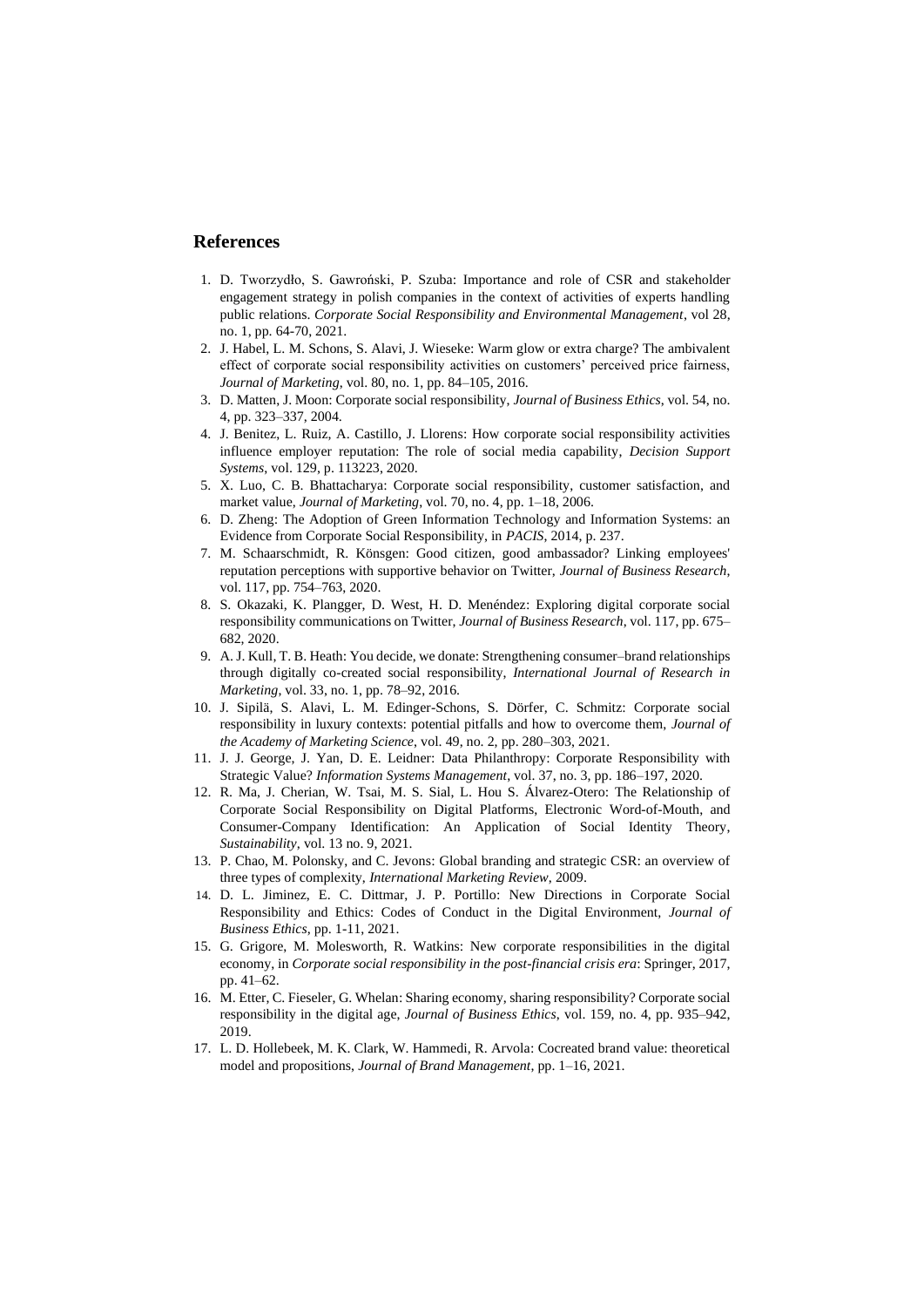## **References**

- 1. D. Tworzydło, S. Gawroński, P. Szuba: Importance and role of CSR and stakeholder engagement strategy in polish companies in the context of activities of experts handling public relations. *Corporate Social Responsibility and Environmental Management*, vol 28, no. 1, pp. 64-70, 2021.
- 2. J. Habel, L. M. Schons, S. Alavi, J. Wieseke: Warm glow or extra charge? The ambivalent effect of corporate social responsibility activities on customers' perceived price fairness, *Journal of Marketing*, vol. 80, no. 1, pp. 84–105, 2016.
- 3. D. Matten, J. Moon: Corporate social responsibility, *Journal of Business Ethics*, vol. 54, no. 4, pp. 323–337, 2004.
- 4. J. Benitez, L. Ruiz, A. Castillo, J. Llorens: How corporate social responsibility activities influence employer reputation: The role of social media capability, *Decision Support Systems*, vol. 129, p. 113223, 2020.
- 5. X. Luo, C. B. Bhattacharya: Corporate social responsibility, customer satisfaction, and market value, *Journal of Marketing*, vol. 70, no. 4, pp. 1–18, 2006.
- 6. D. Zheng: The Adoption of Green Information Technology and Information Systems: an Evidence from Corporate Social Responsibility, in *PACIS*, 2014, p. 237.
- 7. M. Schaarschmidt, R. Könsgen: Good citizen, good ambassador? Linking employees' reputation perceptions with supportive behavior on Twitter, *Journal of Business Research*, vol. 117, pp. 754–763, 2020.
- 8. S. Okazaki, K. Plangger, D. West, H. D. Menéndez: Exploring digital corporate social responsibility communications on Twitter, *Journal of Business Research*, vol. 117, pp. 675– 682, 2020.
- 9. A. J. Kull, T. B. Heath: You decide, we donate: Strengthening consumer–brand relationships through digitally co-created social responsibility, *International Journal of Research in Marketing*, vol. 33, no. 1, pp. 78–92, 2016.
- 10. J. Sipilä, S. Alavi, L. M. Edinger-Schons, S. Dörfer, C. Schmitz: Corporate social responsibility in luxury contexts: potential pitfalls and how to overcome them, *Journal of the Academy of Marketing Science*, vol. 49, no. 2, pp. 280–303, 2021.
- 11. J. J. George, J. Yan, D. E. Leidner: Data Philanthropy: Corporate Responsibility with Strategic Value? *Information Systems Management*, vol. 37, no. 3, pp. 186–197, 2020.
- 12. R. Ma, J. Cherian, W. Tsai, M. S. Sial, L. Hou S. Álvarez-Otero: The Relationship of Corporate Social Responsibility on Digital Platforms, Electronic Word-of-Mouth, and Consumer-Company Identification: An Application of Social Identity Theory, *Sustainability*, vol. 13 no. 9, 2021.
- 13. P. Chao, M. Polonsky, and C. Jevons: Global branding and strategic CSR: an overview of three types of complexity, *International Marketing Review*, 2009.
- 14. D. L. Jiminez, E. C. Dittmar, J. P. Portillo: New Directions in Corporate Social Responsibility and Ethics: Codes of Conduct in the Digital Environment, *Journal of Business Ethics*, pp. 1-11, 2021.
- 15. G. Grigore, M. Molesworth, R. Watkins: New corporate responsibilities in the digital economy, in *Corporate social responsibility in the post-financial crisis era*: Springer, 2017, pp. 41–62.
- 16. M. Etter, C. Fieseler, G. Whelan: Sharing economy, sharing responsibility? Corporate social responsibility in the digital age, *Journal of Business Ethics*, vol. 159, no. 4, pp. 935–942, 2019.
- 17. L. D. Hollebeek, M. K. Clark, W. Hammedi, R. Arvola: Cocreated brand value: theoretical model and propositions, *Journal of Brand Management*, pp. 1–16, 2021.